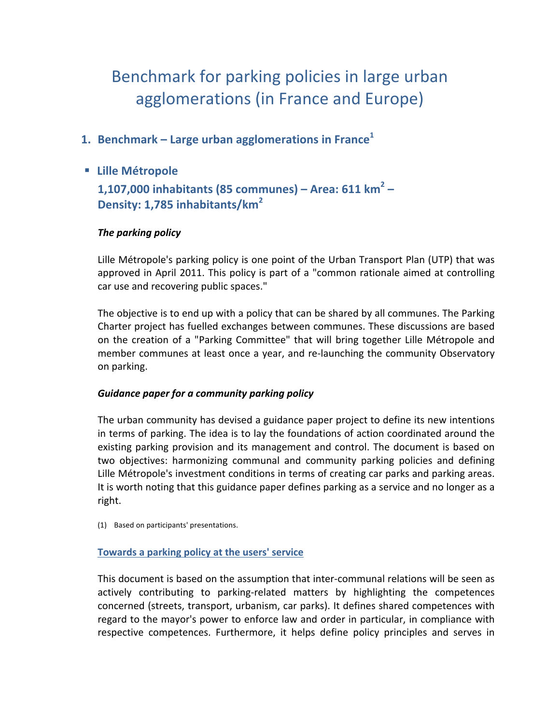# Benchmark for parking policies in large urban agglomerations (in France and Europe)

- **1. Benchmark – Large urban agglomerations in France<sup>1</sup>**
- § **Lille Métropole**

**1,107,000 inhabitants (85 communes) – Area: 611 km<sup>2</sup> – Density: 1,785 inhabitants/km<sup>2</sup>**

# **The parking policy**

Lille Métropole's parking policy is one point of the Urban Transport Plan (UTP) that was approved in April 2011. This policy is part of a "common rationale aimed at controlling car use and recovering public spaces."

The objective is to end up with a policy that can be shared by all communes. The Parking Charter project has fuelled exchanges between communes. These discussions are based on the creation of a "Parking Committee" that will bring together Lille Métropole and member communes at least once a year, and re-launching the community Observatory on parking.

#### *Guidance paper for a community parking policy*

The urban community has devised a guidance paper project to define its new intentions in terms of parking. The idea is to lay the foundations of action coordinated around the existing parking provision and its management and control. The document is based on two objectives: harmonizing communal and community parking policies and defining Lille Métropole's investment conditions in terms of creating car parks and parking areas. It is worth noting that this guidance paper defines parking as a service and no longer as a right. 

(1) Based on participants' presentations.

# **Towards a parking policy at the users' service**

This document is based on the assumption that inter-communal relations will be seen as actively contributing to parking-related matters by highlighting the competences concerned (streets, transport, urbanism, car parks). It defines shared competences with regard to the mayor's power to enforce law and order in particular, in compliance with respective competences. Furthermore, it helps define policy principles and serves in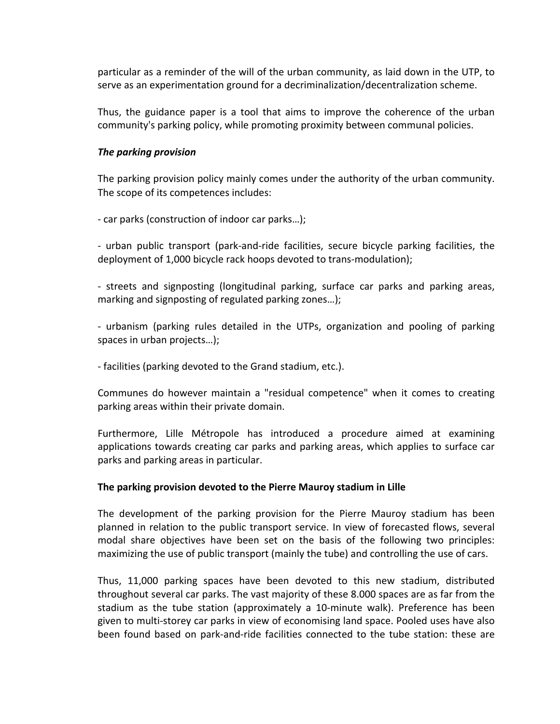particular as a reminder of the will of the urban community, as laid down in the UTP, to serve as an experimentation ground for a decriminalization/decentralization scheme.

Thus, the guidance paper is a tool that aims to improve the coherence of the urban community's parking policy, while promoting proximity between communal policies.

#### *The parking provision*

The parking provision policy mainly comes under the authority of the urban community. The scope of its competences includes:

- car parks (construction of indoor car parks...);

- urban public transport (park-and-ride facilities, secure bicycle parking facilities, the deployment of 1,000 bicycle rack hoops devoted to trans-modulation);

- streets and signposting (longitudinal parking, surface car parks and parking areas, marking and signposting of regulated parking zones...);

- urbanism (parking rules detailed in the UTPs, organization and pooling of parking spaces in urban projects...);

- facilities (parking devoted to the Grand stadium, etc.).

Communes do however maintain a "residual competence" when it comes to creating parking areas within their private domain.

Furthermore, Lille Métropole has introduced a procedure aimed at examining applications towards creating car parks and parking areas, which applies to surface car parks and parking areas in particular.

#### The parking provision devoted to the Pierre Mauroy stadium in Lille

The development of the parking provision for the Pierre Mauroy stadium has been planned in relation to the public transport service. In view of forecasted flows, several modal share objectives have been set on the basis of the following two principles: maximizing the use of public transport (mainly the tube) and controlling the use of cars.

Thus, 11,000 parking spaces have been devoted to this new stadium, distributed throughout several car parks. The vast majority of these 8.000 spaces are as far from the stadium as the tube station (approximately a 10-minute walk). Preference has been given to multi-storey car parks in view of economising land space. Pooled uses have also been found based on park-and-ride facilities connected to the tube station: these are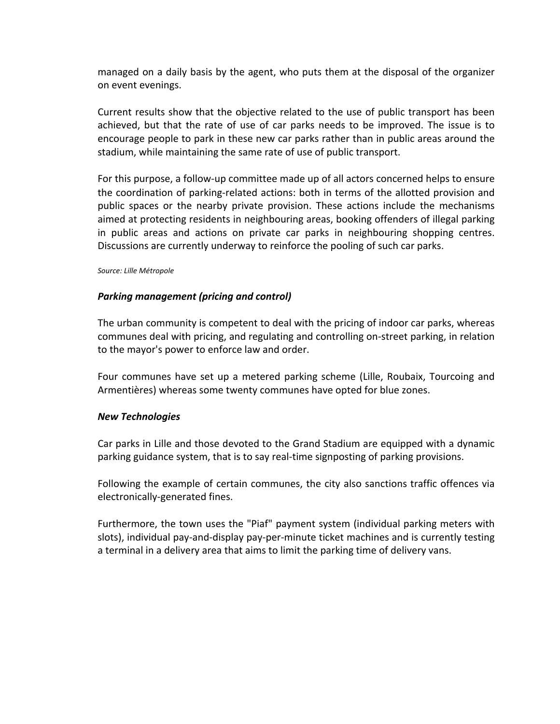managed on a daily basis by the agent, who puts them at the disposal of the organizer on event evenings.

Current results show that the objective related to the use of public transport has been achieved, but that the rate of use of car parks needs to be improved. The issue is to encourage people to park in these new car parks rather than in public areas around the stadium, while maintaining the same rate of use of public transport.

For this purpose, a follow-up committee made up of all actors concerned helps to ensure the coordination of parking-related actions: both in terms of the allotted provision and public spaces or the nearby private provision. These actions include the mechanisms aimed at protecting residents in neighbouring areas, booking offenders of illegal parking in public areas and actions on private car parks in neighbouring shopping centres. Discussions are currently underway to reinforce the pooling of such car parks.

*Source: Lille Métropole*

# **Parking management (pricing and control)**

The urban community is competent to deal with the pricing of indoor car parks, whereas communes deal with pricing, and regulating and controlling on-street parking, in relation to the mayor's power to enforce law and order.

Four communes have set up a metered parking scheme (Lille, Roubaix, Tourcoing and Armentières) whereas some twenty communes have opted for blue zones.

#### *New Technologies*

Car parks in Lille and those devoted to the Grand Stadium are equipped with a dynamic parking guidance system, that is to say real-time signposting of parking provisions.

Following the example of certain communes, the city also sanctions traffic offences via electronically-generated fines.

Furthermore, the town uses the "Piaf" payment system (individual parking meters with slots), individual pay-and-display pay-per-minute ticket machines and is currently testing a terminal in a delivery area that aims to limit the parking time of delivery vans.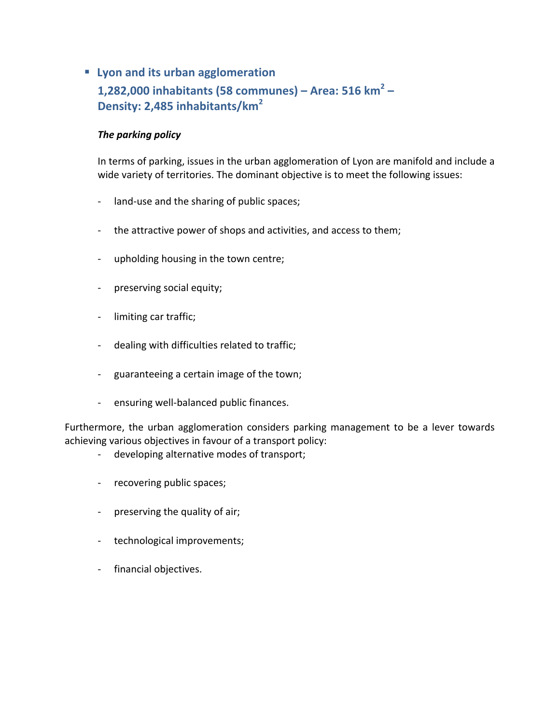# ■ Lyon and its urban agglomeration **1,282,000 inhabitants (58 communes) – Area: 516 km<sup>2</sup> – Density: 2,485 inhabitants/km<sup>2</sup>**

# **The parking policy**

In terms of parking, issues in the urban agglomeration of Lyon are manifold and include a wide variety of territories. The dominant objective is to meet the following issues:

- land-use and the sharing of public spaces;
- the attractive power of shops and activities, and access to them;
- upholding housing in the town centre;
- preserving social equity;
- limiting car traffic;
- dealing with difficulties related to traffic;
- guaranteeing a certain image of the town;
- ensuring well-balanced public finances.

Furthermore, the urban agglomeration considers parking management to be a lever towards achieving various objectives in favour of a transport policy:

- developing alternative modes of transport;
- recovering public spaces;
- preserving the quality of air;
- technological improvements;
- financial objectives.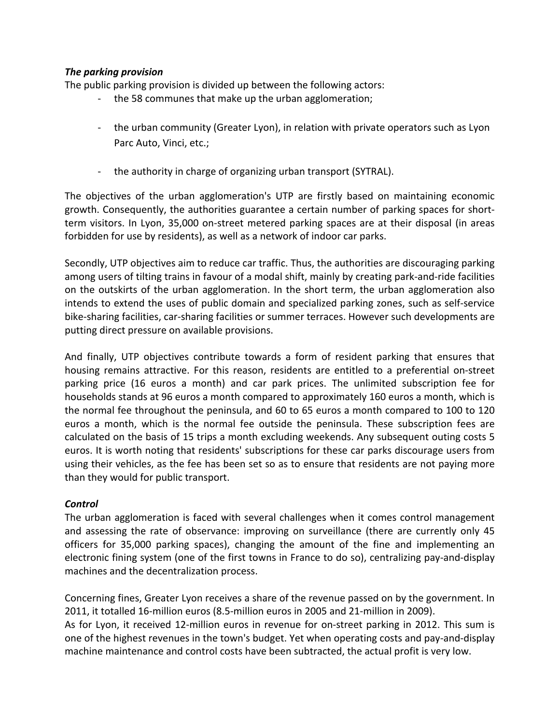# *The parking provision*

The public parking provision is divided up between the following actors:

- the 58 communes that make up the urban agglomeration;
- the urban community (Greater Lyon), in relation with private operators such as Lyon Parc Auto, Vinci, etc.;
- the authority in charge of organizing urban transport (SYTRAL).

The objectives of the urban agglomeration's UTP are firstly based on maintaining economic growth. Consequently, the authorities guarantee a certain number of parking spaces for shortterm visitors. In Lyon, 35,000 on-street metered parking spaces are at their disposal (in areas forbidden for use by residents), as well as a network of indoor car parks.

Secondly, UTP objectives aim to reduce car traffic. Thus, the authorities are discouraging parking among users of tilting trains in favour of a modal shift, mainly by creating park-and-ride facilities on the outskirts of the urban agglomeration. In the short term, the urban agglomeration also intends to extend the uses of public domain and specialized parking zones, such as self-service bike-sharing facilities, car-sharing facilities or summer terraces. However such developments are putting direct pressure on available provisions.

And finally, UTP objectives contribute towards a form of resident parking that ensures that housing remains attractive. For this reason, residents are entitled to a preferential on-street parking price (16 euros a month) and car park prices. The unlimited subscription fee for households stands at 96 euros a month compared to approximately 160 euros a month, which is the normal fee throughout the peninsula, and 60 to 65 euros a month compared to 100 to 120 euros a month, which is the normal fee outside the peninsula. These subscription fees are calculated on the basis of 15 trips a month excluding weekends. Any subsequent outing costs 5 euros. It is worth noting that residents' subscriptions for these car parks discourage users from using their vehicles, as the fee has been set so as to ensure that residents are not paying more than they would for public transport.

#### *Control*

The urban agglomeration is faced with several challenges when it comes control management and assessing the rate of observance: improving on surveillance (there are currently only 45 officers for 35,000 parking spaces), changing the amount of the fine and implementing an electronic fining system (one of the first towns in France to do so), centralizing pay-and-display machines and the decentralization process.

Concerning fines, Greater Lyon receives a share of the revenue passed on by the government. In 2011, it totalled 16-million euros (8.5-million euros in 2005 and 21-million in 2009).

As for Lyon, it received 12-million euros in revenue for on-street parking in 2012. This sum is one of the highest revenues in the town's budget. Yet when operating costs and pay-and-display machine maintenance and control costs have been subtracted, the actual profit is very low.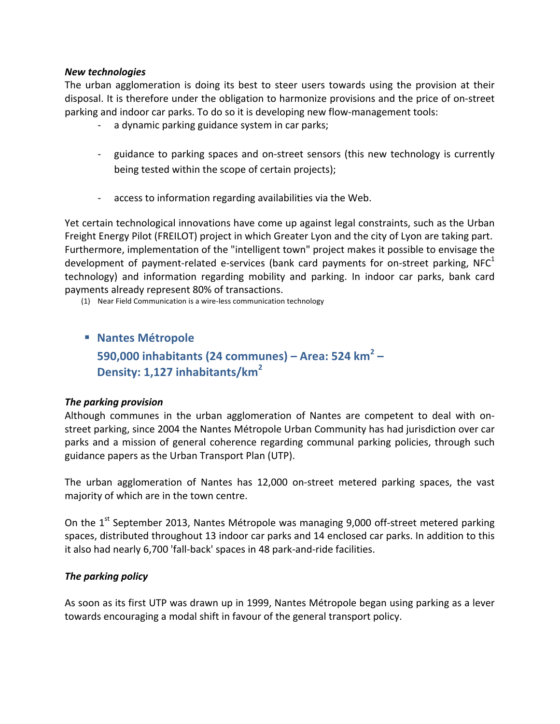#### *New technologies*

The urban agglomeration is doing its best to steer users towards using the provision at their disposal. It is therefore under the obligation to harmonize provisions and the price of on-street parking and indoor car parks. To do so it is developing new flow-management tools:

- a dynamic parking guidance system in car parks;
- guidance to parking spaces and on-street sensors (this new technology is currently being tested within the scope of certain projects);
- access to information regarding availabilities via the Web.

Yet certain technological innovations have come up against legal constraints, such as the Urban Freight Energy Pilot (FREILOT) project in which Greater Lyon and the city of Lyon are taking part. Furthermore, implementation of the "intelligent town" project makes it possible to envisage the development of payment-related e-services (bank card payments for on-street parking,  $NFC<sup>1</sup>$ technology) and information regarding mobility and parking. In indoor car parks, bank card payments already represent 80% of transactions.

(1) Near Field Communication is a wire-less communication technology

§ **Nantes Métropole 590,000 inhabitants (24 communes) – Area: 524 km<sup>2</sup> – Density: 1,127 inhabitants/km<sup>2</sup>**

#### *The parking provision*

Although communes in the urban agglomeration of Nantes are competent to deal with onstreet parking, since 2004 the Nantes Métropole Urban Community has had jurisdiction over car parks and a mission of general coherence regarding communal parking policies, through such guidance papers as the Urban Transport Plan (UTP).

The urban agglomeration of Nantes has 12,000 on-street metered parking spaces, the vast majority of which are in the town centre.

On the  $1<sup>st</sup>$  September 2013, Nantes Métropole was managing 9,000 off-street metered parking spaces, distributed throughout 13 indoor car parks and 14 enclosed car parks. In addition to this it also had nearly 6,700 'fall-back' spaces in 48 park-and-ride facilities.

#### *The parking policy*

As soon as its first UTP was drawn up in 1999, Nantes Métropole began using parking as a lever towards encouraging a modal shift in favour of the general transport policy.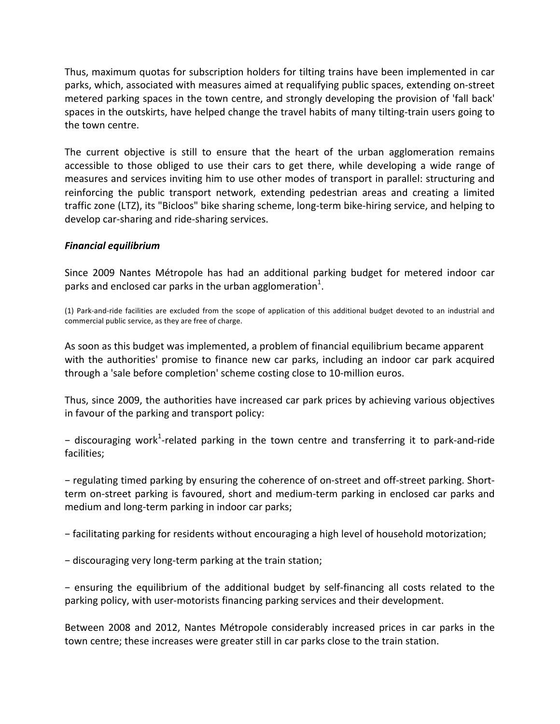Thus, maximum quotas for subscription holders for tilting trains have been implemented in car parks, which, associated with measures aimed at requalifying public spaces, extending on-street metered parking spaces in the town centre, and strongly developing the provision of 'fall back' spaces in the outskirts, have helped change the travel habits of many tilting-train users going to the town centre.

The current objective is still to ensure that the heart of the urban agglomeration remains accessible to those obliged to use their cars to get there, while developing a wide range of measures and services inviting him to use other modes of transport in parallel: structuring and reinforcing the public transport network, extending pedestrian areas and creating a limited traffic zone (LTZ), its "Bicloos" bike sharing scheme, long-term bike-hiring service, and helping to develop car-sharing and ride-sharing services.

#### *Financial equilibrium*

Since 2009 Nantes Métropole has had an additional parking budget for metered indoor car parks and enclosed car parks in the urban agglomeration $^{1}$ .

(1) Park-and-ride facilities are excluded from the scope of application of this additional budget devoted to an industrial and commercial public service, as they are free of charge.

As soon as this budget was implemented, a problem of financial equilibrium became apparent with the authorities' promise to finance new car parks, including an indoor car park acquired through a 'sale before completion' scheme costing close to 10-million euros.

Thus, since 2009, the authorities have increased car park prices by achieving various objectives in favour of the parking and transport policy:

- discouraging work<sup>1</sup>-related parking in the town centre and transferring it to park-and-ride facilities;

− regulating timed parking by ensuring the coherence of on-street and off-street parking. Shortterm on-street parking is favoured, short and medium-term parking in enclosed car parks and medium and long-term parking in indoor car parks;

- facilitating parking for residents without encouraging a high level of household motorization;

− discouraging very long-term parking at the train station;

− ensuring the equilibrium of the additional budget by self-financing all costs related to the parking policy, with user-motorists financing parking services and their development.

Between 2008 and 2012, Nantes Métropole considerably increased prices in car parks in the town centre; these increases were greater still in car parks close to the train station.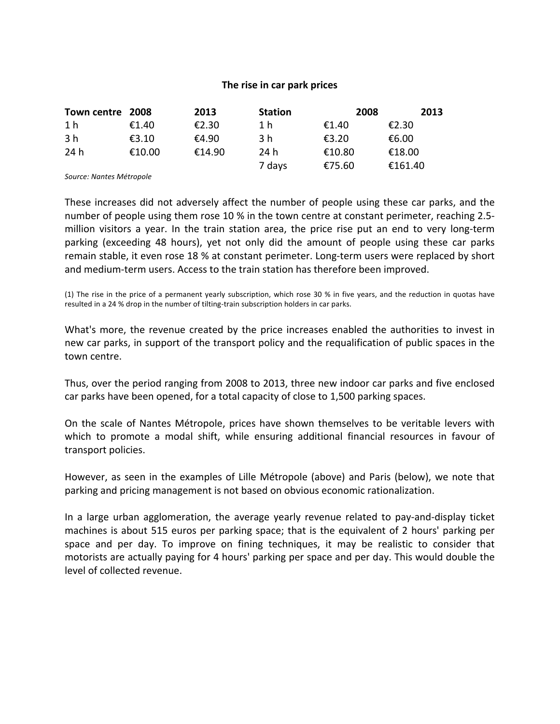#### The rise in car park prices

| Town centre 2008 |        | 2013   | <b>Station</b> | 2008   | 2013    |
|------------------|--------|--------|----------------|--------|---------|
| 1 <sub>h</sub>   | €1.40  | €2.30  | 1 h            | €1.40  | €2.30   |
| 3 h              | €3.10  | €4.90  | 3 h            | €3.20  | €6.00   |
| 24 h             | €10.00 | €14.90 | 24 h           | €10.80 | €18.00  |
|                  |        |        | 7 days         | €75.60 | €161.40 |

*Source: Nantes Métropole*

These increases did not adversely affect the number of people using these car parks, and the number of people using them rose 10 % in the town centre at constant perimeter, reaching 2.5million visitors a year. In the train station area, the price rise put an end to very long-term parking (exceeding 48 hours), yet not only did the amount of people using these car parks remain stable, it even rose 18 % at constant perimeter. Long-term users were replaced by short and medium-term users. Access to the train station has therefore been improved.

(1) The rise in the price of a permanent yearly subscription, which rose 30 % in five years, and the reduction in quotas have resulted in a 24 % drop in the number of tilting-train subscription holders in car parks.

What's more, the revenue created by the price increases enabled the authorities to invest in new car parks, in support of the transport policy and the requalification of public spaces in the town centre.

Thus, over the period ranging from 2008 to 2013, three new indoor car parks and five enclosed car parks have been opened, for a total capacity of close to 1,500 parking spaces.

On the scale of Nantes Métropole, prices have shown themselves to be veritable levers with which to promote a modal shift, while ensuring additional financial resources in favour of transport policies.

However, as seen in the examples of Lille Métropole (above) and Paris (below), we note that parking and pricing management is not based on obvious economic rationalization.

In a large urban agglomeration, the average yearly revenue related to pay-and-display ticket machines is about 515 euros per parking space; that is the equivalent of 2 hours' parking per space and per day. To improve on fining techniques, it may be realistic to consider that motorists are actually paying for 4 hours' parking per space and per day. This would double the level of collected revenue.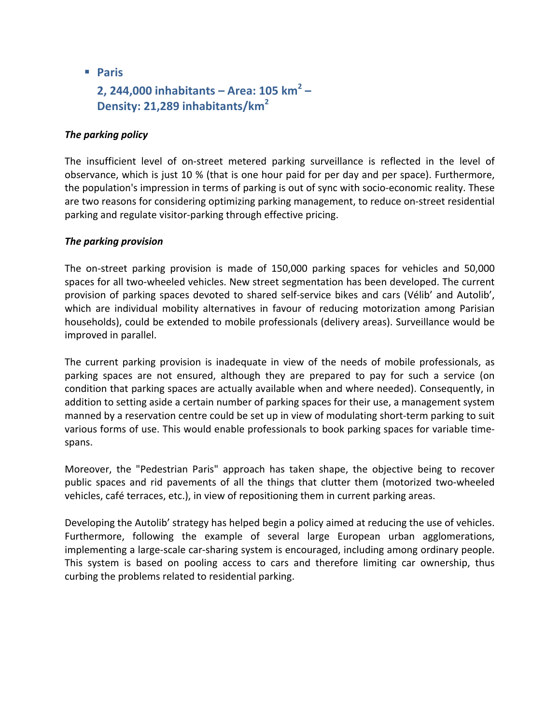§ **Paris**

# **2, 244,000 inhabitants – Area: 105 km<sup>2</sup> – Density: 21,289 inhabitants/km<sup>2</sup>**

# **The parking policy**

The insufficient level of on-street metered parking surveillance is reflected in the level of observance, which is just 10 % (that is one hour paid for per day and per space). Furthermore, the population's impression in terms of parking is out of sync with socio-economic reality. These are two reasons for considering optimizing parking management, to reduce on-street residential parking and regulate visitor-parking through effective pricing.

#### *The parking provision*

The on-street parking provision is made of 150,000 parking spaces for vehicles and 50,000 spaces for all two-wheeled vehicles. New street segmentation has been developed. The current provision of parking spaces devoted to shared self-service bikes and cars (Vélib' and Autolib', which are individual mobility alternatives in favour of reducing motorization among Parisian households), could be extended to mobile professionals (delivery areas). Surveillance would be improved in parallel.

The current parking provision is inadequate in view of the needs of mobile professionals, as parking spaces are not ensured, although they are prepared to pay for such a service (on condition that parking spaces are actually available when and where needed). Consequently, in addition to setting aside a certain number of parking spaces for their use, a management system manned by a reservation centre could be set up in view of modulating short-term parking to suit various forms of use. This would enable professionals to book parking spaces for variable timespans.

Moreover, the "Pedestrian Paris" approach has taken shape, the objective being to recover public spaces and rid pavements of all the things that clutter them (motorized two-wheeled vehicles, café terraces, etc.), in view of repositioning them in current parking areas.

Developing the Autolib' strategy has helped begin a policy aimed at reducing the use of vehicles. Furthermore, following the example of several large European urban agglomerations, implementing a large-scale car-sharing system is encouraged, including among ordinary people. This system is based on pooling access to cars and therefore limiting car ownership, thus curbing the problems related to residential parking.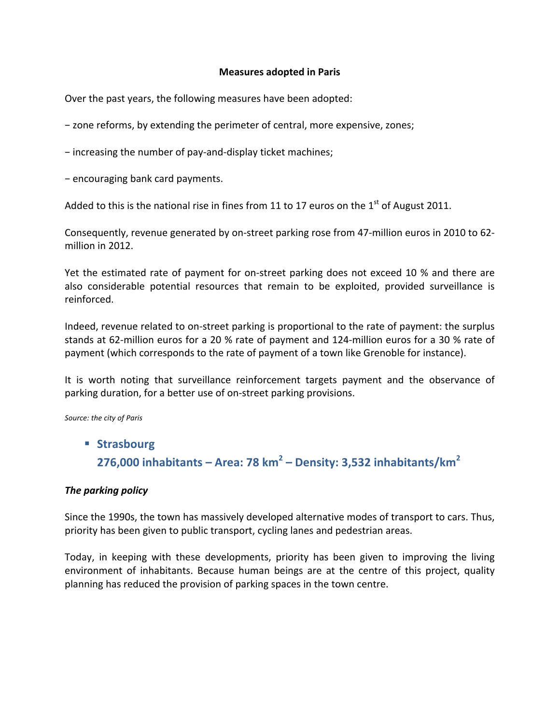#### **Measures adopted in Paris**

Over the past years, the following measures have been adopted:

− zone reforms, by extending the perimeter of central, more expensive, zones;

− increasing the number of pay-and-display ticket machines;

− encouraging bank card payments.

Added to this is the national rise in fines from 11 to 17 euros on the 1<sup>st</sup> of August 2011.

Consequently, revenue generated by on-street parking rose from 47-million euros in 2010 to 62million in 2012.

Yet the estimated rate of payment for on-street parking does not exceed 10 % and there are also considerable potential resources that remain to be exploited, provided surveillance is reinforced.

Indeed, revenue related to on-street parking is proportional to the rate of payment: the surplus stands at 62-million euros for a 20 % rate of payment and 124-million euros for a 30 % rate of payment (which corresponds to the rate of payment of a town like Grenoble for instance).

It is worth noting that surveillance reinforcement targets payment and the observance of parking duration, for a better use of on-street parking provisions.

Source: the city of Paris

§ **Strasbourg 276,000 inhabitants – Area: 78 km<sup>2</sup> – Density: 3,532 inhabitants/km<sup>2</sup>**

#### **The parking policy**

Since the 1990s, the town has massively developed alternative modes of transport to cars. Thus, priority has been given to public transport, cycling lanes and pedestrian areas.

Today, in keeping with these developments, priority has been given to improving the living environment of inhabitants. Because human beings are at the centre of this project, quality planning has reduced the provision of parking spaces in the town centre.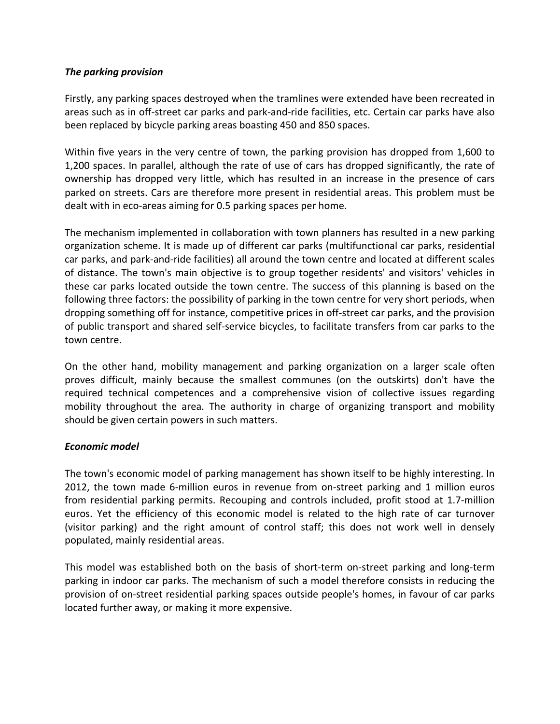# *The parking provision*

Firstly, any parking spaces destroyed when the tramlines were extended have been recreated in areas such as in off-street car parks and park-and-ride facilities, etc. Certain car parks have also been replaced by bicycle parking areas boasting 450 and 850 spaces.

Within five years in the very centre of town, the parking provision has dropped from 1,600 to 1,200 spaces. In parallel, although the rate of use of cars has dropped significantly, the rate of ownership has dropped very little, which has resulted in an increase in the presence of cars parked on streets. Cars are therefore more present in residential areas. This problem must be dealt with in eco-areas aiming for 0.5 parking spaces per home.

The mechanism implemented in collaboration with town planners has resulted in a new parking organization scheme. It is made up of different car parks (multifunctional car parks, residential car parks, and park-and-ride facilities) all around the town centre and located at different scales of distance. The town's main objective is to group together residents' and visitors' vehicles in these car parks located outside the town centre. The success of this planning is based on the following three factors: the possibility of parking in the town centre for very short periods, when dropping something off for instance, competitive prices in off-street car parks, and the provision of public transport and shared self-service bicycles, to facilitate transfers from car parks to the town centre.

On the other hand, mobility management and parking organization on a larger scale often proves difficult, mainly because the smallest communes (on the outskirts) don't have the required technical competences and a comprehensive vision of collective issues regarding mobility throughout the area. The authority in charge of organizing transport and mobility should be given certain powers in such matters.

#### *Economic model*

The town's economic model of parking management has shown itself to be highly interesting. In 2012, the town made 6-million euros in revenue from on-street parking and 1 million euros from residential parking permits. Recouping and controls included, profit stood at 1.7-million euros. Yet the efficiency of this economic model is related to the high rate of car turnover (visitor parking) and the right amount of control staff; this does not work well in densely populated, mainly residential areas.

This model was established both on the basis of short-term on-street parking and long-term parking in indoor car parks. The mechanism of such a model therefore consists in reducing the provision of on-street residential parking spaces outside people's homes, in favour of car parks located further away, or making it more expensive.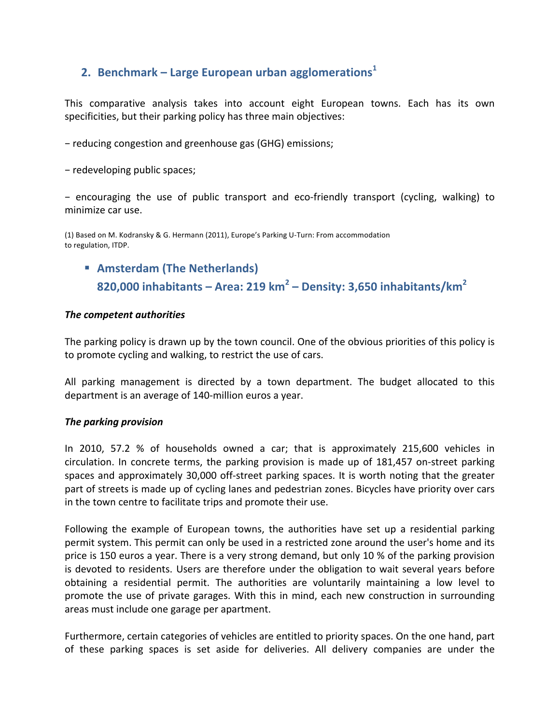# **2.** Benchmark – Large European urban agglomerations<sup>1</sup>

This comparative analysis takes into account eight European towns. Each has its own specificities, but their parking policy has three main objectives:

− reducing congestion and greenhouse gas (GHG) emissions;

− redeveloping public spaces;

− encouraging the use of public transport and eco-friendly transport (cycling, walking) to minimize car use.

(1) Based on M. Kodransky & G. Hermann (2011), Europe's Parking U-Turn: From accommodation to regulation, ITDP.

**E** Amsterdam (The Netherlands) **820,000 inhabitants – Area: 219 km<sup>2</sup> – Density: 3,650 inhabitants/km<sup>2</sup>**

#### *The competent authorities*

The parking policy is drawn up by the town council. One of the obvious priorities of this policy is to promote cycling and walking, to restrict the use of cars.

All parking management is directed by a town department. The budget allocated to this department is an average of 140-million euros a year.

#### *The parking provision*

In 2010, 57.2 % of households owned a car; that is approximately 215,600 vehicles in circulation. In concrete terms, the parking provision is made up of 181,457 on-street parking spaces and approximately 30,000 off-street parking spaces. It is worth noting that the greater part of streets is made up of cycling lanes and pedestrian zones. Bicycles have priority over cars in the town centre to facilitate trips and promote their use.

Following the example of European towns, the authorities have set up a residential parking permit system. This permit can only be used in a restricted zone around the user's home and its price is 150 euros a year. There is a very strong demand, but only 10 % of the parking provision is devoted to residents. Users are therefore under the obligation to wait several years before obtaining a residential permit. The authorities are voluntarily maintaining a low level to promote the use of private garages. With this in mind, each new construction in surrounding areas must include one garage per apartment.

Furthermore, certain categories of vehicles are entitled to priority spaces. On the one hand, part of these parking spaces is set aside for deliveries. All delivery companies are under the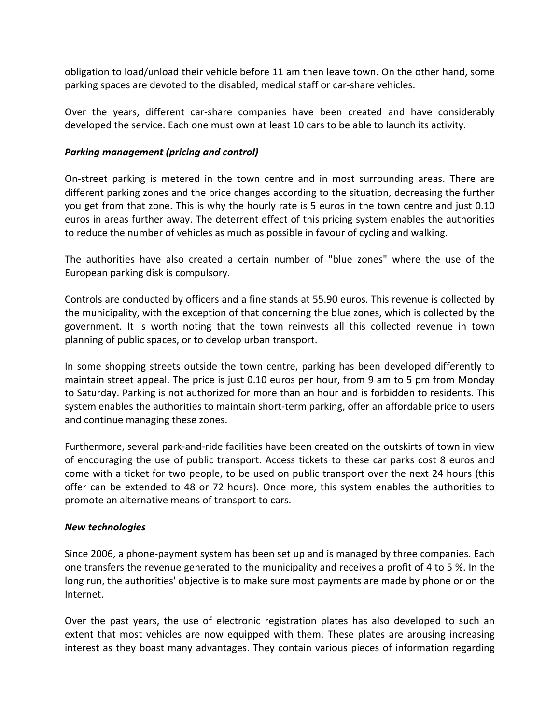obligation to load/unload their vehicle before 11 am then leave town. On the other hand, some parking spaces are devoted to the disabled, medical staff or car-share vehicles.

Over the years, different car-share companies have been created and have considerably developed the service. Each one must own at least 10 cars to be able to launch its activity.

### *Parking management (pricing and control)*

On-street parking is metered in the town centre and in most surrounding areas. There are different parking zones and the price changes according to the situation, decreasing the further you get from that zone. This is why the hourly rate is 5 euros in the town centre and just 0.10 euros in areas further away. The deterrent effect of this pricing system enables the authorities to reduce the number of vehicles as much as possible in favour of cycling and walking.

The authorities have also created a certain number of "blue zones" where the use of the European parking disk is compulsory.

Controls are conducted by officers and a fine stands at 55.90 euros. This revenue is collected by the municipality, with the exception of that concerning the blue zones, which is collected by the government. It is worth noting that the town reinvests all this collected revenue in town planning of public spaces, or to develop urban transport.

In some shopping streets outside the town centre, parking has been developed differently to maintain street appeal. The price is just 0.10 euros per hour, from 9 am to 5 pm from Monday to Saturday. Parking is not authorized for more than an hour and is forbidden to residents. This system enables the authorities to maintain short-term parking, offer an affordable price to users and continue managing these zones.

Furthermore, several park-and-ride facilities have been created on the outskirts of town in view of encouraging the use of public transport. Access tickets to these car parks cost 8 euros and come with a ticket for two people, to be used on public transport over the next 24 hours (this offer can be extended to 48 or 72 hours). Once more, this system enables the authorities to promote an alternative means of transport to cars.

#### *New technologies*

Since 2006, a phone-payment system has been set up and is managed by three companies. Each one transfers the revenue generated to the municipality and receives a profit of 4 to 5 %. In the long run, the authorities' objective is to make sure most payments are made by phone or on the Internet.

Over the past years, the use of electronic registration plates has also developed to such an extent that most vehicles are now equipped with them. These plates are arousing increasing interest as they boast many advantages. They contain various pieces of information regarding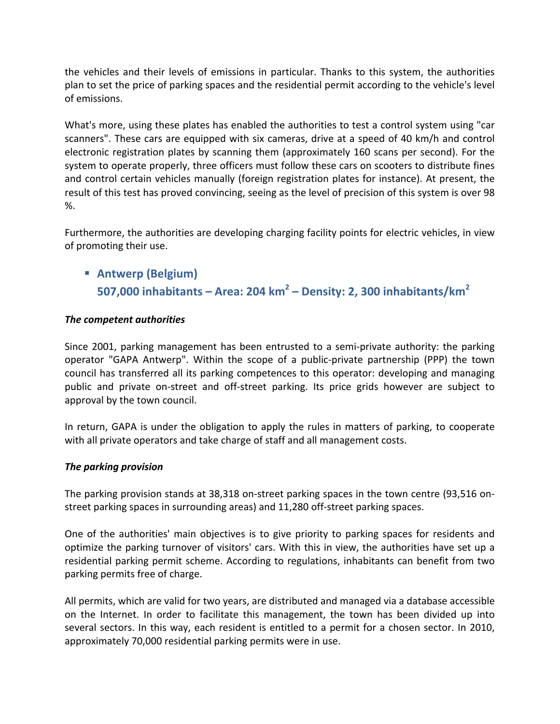the vehicles and their levels of emissions in particular. Thanks to this system, the authorities plan to set the price of parking spaces and the residential permit according to the vehicle's level of emissions.

What's more, using these plates has enabled the authorities to test a control system using "car scanners". These cars are equipped with six cameras, drive at a speed of 40 km/h and control electronic registration plates by scanning them (approximately 160 scans per second). For the system to operate properly, three officers must follow these cars on scooters to distribute fines and control certain vehicles manually (foreign registration plates for instance). At present, the result of this test has proved convincing, seeing as the level of precision of this system is over 98 %.

Furthermore, the authorities are developing charging facility points for electric vehicles, in view of promoting their use.

§ **Antwerp (Belgium) 507,000 inhabitants – Area: 204 km<sup>2</sup> – Density: 2, 300 inhabitants/km<sup>2</sup>**

# *The competent authorities*

Since 2001, parking management has been entrusted to a semi-private authority: the parking operator "GAPA Antwerp". Within the scope of a public-private partnership (PPP) the town council has transferred all its parking competences to this operator: developing and managing public and private on-street and off-street parking. Its price grids however are subject to approval by the town council.

In return, GAPA is under the obligation to apply the rules in matters of parking, to cooperate with all private operators and take charge of staff and all management costs.

#### *The parking provision*

The parking provision stands at 38,318 on-street parking spaces in the town centre (93,516 onstreet parking spaces in surrounding areas) and 11,280 off-street parking spaces.

One of the authorities' main objectives is to give priority to parking spaces for residents and optimize the parking turnover of visitors' cars. With this in view, the authorities have set up a residential parking permit scheme. According to regulations, inhabitants can benefit from two parking permits free of charge.

All permits, which are valid for two years, are distributed and managed via a database accessible on the Internet. In order to facilitate this management, the town has been divided up into several sectors. In this way, each resident is entitled to a permit for a chosen sector. In 2010, approximately 70,000 residential parking permits were in use.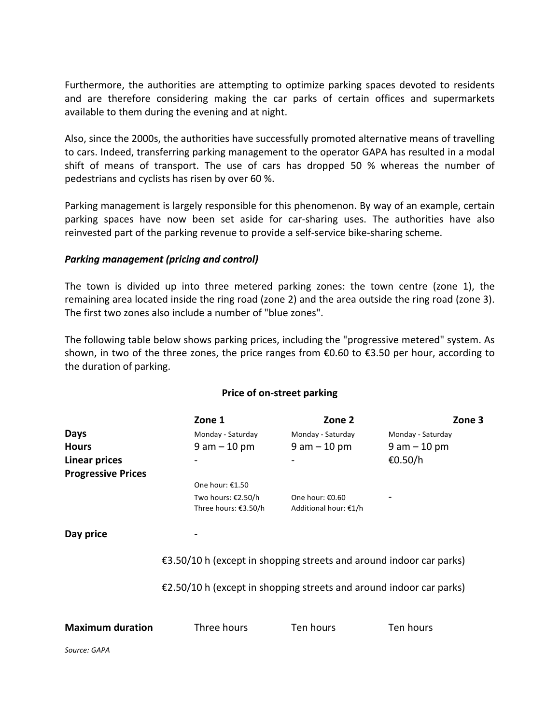Furthermore, the authorities are attempting to optimize parking spaces devoted to residents and are therefore considering making the car parks of certain offices and supermarkets available to them during the evening and at night.

Also, since the 2000s, the authorities have successfully promoted alternative means of travelling to cars. Indeed, transferring parking management to the operator GAPA has resulted in a modal shift of means of transport. The use of cars has dropped 50 % whereas the number of pedestrians and cyclists has risen by over 60 %.

Parking management is largely responsible for this phenomenon. By way of an example, certain parking spaces have now been set aside for car-sharing uses. The authorities have also reinvested part of the parking revenue to provide a self-service bike-sharing scheme.

#### **Parking management (pricing and control)**

The town is divided up into three metered parking zones: the town centre (zone 1), the remaining area located inside the ring road (zone 2) and the area outside the ring road (zone 3). The first two zones also include a number of "blue zones".

The following table below shows parking prices, including the "progressive metered" system. As shown, in two of the three zones, the price ranges from  $\epsilon$ 0.60 to  $\epsilon$ 3.50 per hour, according to the duration of parking.

#### **Price of on-street parking**

|                           | Zone 1                                                                        | Zone 2                                   | Zone 3            |  |  |  |  |
|---------------------------|-------------------------------------------------------------------------------|------------------------------------------|-------------------|--|--|--|--|
| Days                      | Monday - Saturday                                                             | Monday - Saturday                        | Monday - Saturday |  |  |  |  |
| <b>Hours</b>              | $9 am - 10 pm$                                                                | $9$ am $-10$ pm                          | $9$ am $-10$ pm   |  |  |  |  |
| Linear prices             |                                                                               |                                          | €0.50/h           |  |  |  |  |
| <b>Progressive Prices</b> |                                                                               |                                          |                   |  |  |  |  |
|                           | One hour: €1.50                                                               |                                          |                   |  |  |  |  |
|                           | Two hours: €2.50/h<br>Three hours: €3.50/h                                    | One hour: €0.60<br>Additional hour: €1/h |                   |  |  |  |  |
| Day price                 |                                                                               |                                          |                   |  |  |  |  |
|                           | €3.50/10 h (except in shopping streets and around indoor car parks)           |                                          |                   |  |  |  |  |
|                           | $\epsilon$ 2.50/10 h (except in shopping streets and around indoor car parks) |                                          |                   |  |  |  |  |
| <b>Maximum duration</b>   | Three hours                                                                   | Ten hours                                | Ten hours         |  |  |  |  |
| Source: GAPA              |                                                                               |                                          |                   |  |  |  |  |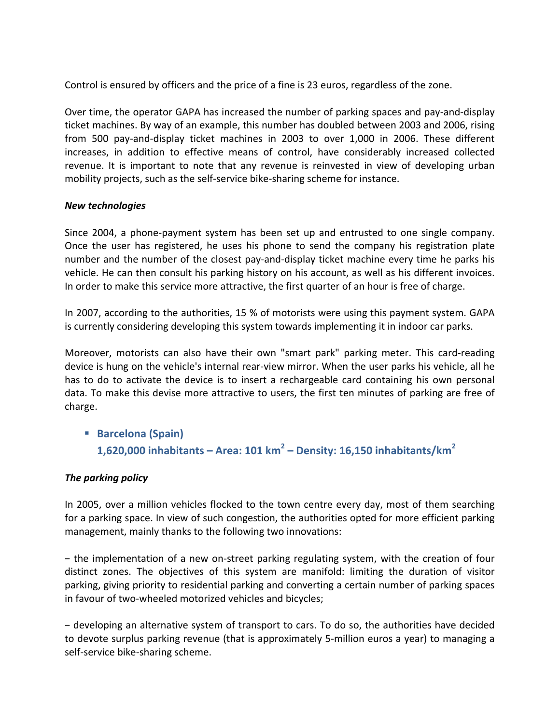Control is ensured by officers and the price of a fine is 23 euros, regardless of the zone.

Over time, the operator GAPA has increased the number of parking spaces and pay-and-display ticket machines. By way of an example, this number has doubled between 2003 and 2006, rising from 500 pay-and-display ticket machines in 2003 to over 1,000 in 2006. These different increases, in addition to effective means of control, have considerably increased collected revenue. It is important to note that any revenue is reinvested in view of developing urban mobility projects, such as the self-service bike-sharing scheme for instance.

#### *New technologies*

Since 2004, a phone-payment system has been set up and entrusted to one single company. Once the user has registered, he uses his phone to send the company his registration plate number and the number of the closest pay-and-display ticket machine every time he parks his vehicle. He can then consult his parking history on his account, as well as his different invoices. In order to make this service more attractive, the first quarter of an hour is free of charge.

In 2007, according to the authorities, 15 % of motorists were using this payment system. GAPA is currently considering developing this system towards implementing it in indoor car parks.

Moreover, motorists can also have their own "smart park" parking meter. This card-reading device is hung on the vehicle's internal rear-view mirror. When the user parks his vehicle, all he has to do to activate the device is to insert a rechargeable card containing his own personal data. To make this devise more attractive to users, the first ten minutes of parking are free of charge.

§ **Barcelona (Spain) 1,620,000 inhabitants – Area: 101 km<sup>2</sup> – Density: 16,150 inhabitants/km<sup>2</sup>**

# **The parking policy**

In 2005, over a million vehicles flocked to the town centre every day, most of them searching for a parking space. In view of such congestion, the authorities opted for more efficient parking management, mainly thanks to the following two innovations:

− the implementation of a new on-street parking regulating system, with the creation of four distinct zones. The objectives of this system are manifold: limiting the duration of visitor parking, giving priority to residential parking and converting a certain number of parking spaces in favour of two-wheeled motorized vehicles and bicycles;

− developing an alternative system of transport to cars. To do so, the authorities have decided to devote surplus parking revenue (that is approximately 5-million euros a year) to managing a self-service bike-sharing scheme.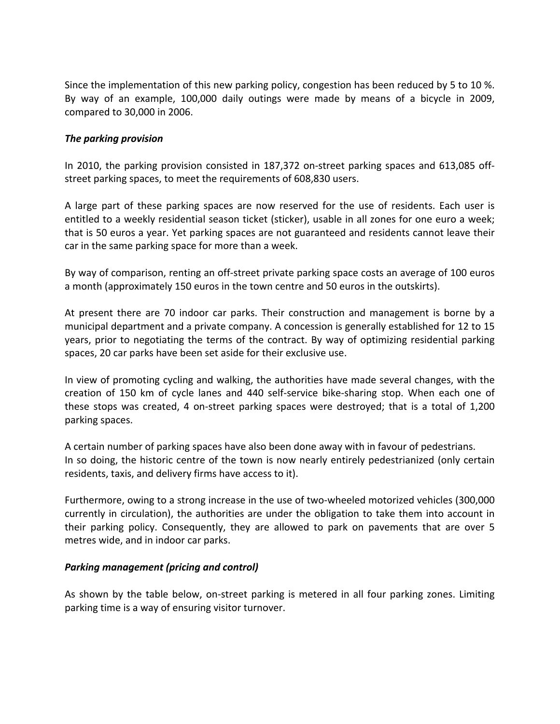Since the implementation of this new parking policy, congestion has been reduced by 5 to 10 %. By way of an example, 100,000 daily outings were made by means of a bicycle in 2009, compared to 30,000 in 2006.

### *The parking provision*

In 2010, the parking provision consisted in 187,372 on-street parking spaces and 613,085 offstreet parking spaces, to meet the requirements of 608,830 users.

A large part of these parking spaces are now reserved for the use of residents. Each user is entitled to a weekly residential season ticket (sticker), usable in all zones for one euro a week; that is 50 euros a year. Yet parking spaces are not guaranteed and residents cannot leave their car in the same parking space for more than a week.

By way of comparison, renting an off-street private parking space costs an average of 100 euros a month (approximately 150 euros in the town centre and 50 euros in the outskirts).

At present there are 70 indoor car parks. Their construction and management is borne by a municipal department and a private company. A concession is generally established for 12 to 15 years, prior to negotiating the terms of the contract. By way of optimizing residential parking spaces, 20 car parks have been set aside for their exclusive use.

In view of promoting cycling and walking, the authorities have made several changes, with the creation of 150 km of cycle lanes and 440 self-service bike-sharing stop. When each one of these stops was created, 4 on-street parking spaces were destroyed; that is a total of 1,200 parking spaces.

A certain number of parking spaces have also been done away with in favour of pedestrians. In so doing, the historic centre of the town is now nearly entirely pedestrianized (only certain residents, taxis, and delivery firms have access to it).

Furthermore, owing to a strong increase in the use of two-wheeled motorized vehicles (300,000 currently in circulation), the authorities are under the obligation to take them into account in their parking policy. Consequently, they are allowed to park on pavements that are over 5 metres wide, and in indoor car parks.

#### **Parking management (pricing and control)**

As shown by the table below, on-street parking is metered in all four parking zones. Limiting parking time is a way of ensuring visitor turnover.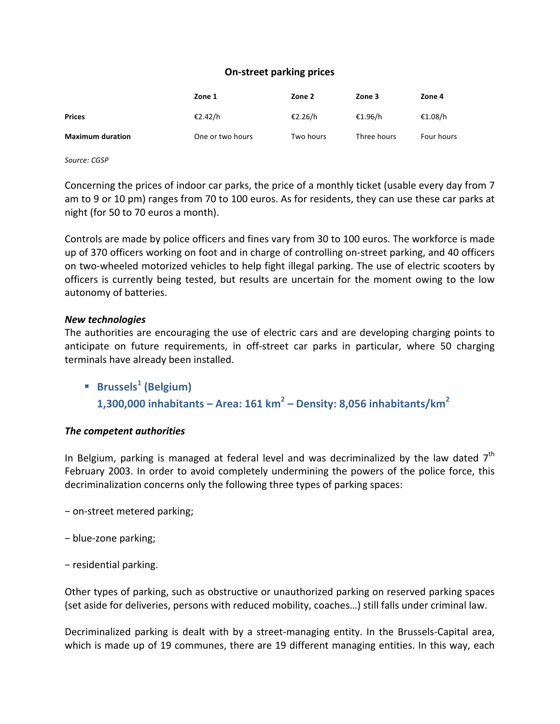#### **On-street parking prices**

|                         | Zone 1           | Zone 2    | Zone 3      | Zone 4            |
|-------------------------|------------------|-----------|-------------|-------------------|
| <b>Prices</b>           | €2.42/h          | €2.26/h   | €1.96/h     | €1.08/h           |
| <b>Maximum duration</b> | One or two hours | Two hours | Three hours | <b>Four hours</b> |

*Source: CGSP*

Concerning the prices of indoor car parks, the price of a monthly ticket (usable every day from 7 am to 9 or 10 pm) ranges from 70 to 100 euros. As for residents, they can use these car parks at night (for 50 to 70 euros a month).

Controls are made by police officers and fines vary from 30 to 100 euros. The workforce is made up of 370 officers working on foot and in charge of controlling on-street parking, and 40 officers on two-wheeled motorized vehicles to help fight illegal parking. The use of electric scooters by officers is currently being tested, but results are uncertain for the moment owing to the low autonomy of batteries.

#### *New technologies*

The authorities are encouraging the use of electric cars and are developing charging points to anticipate on future requirements, in off-street car parks in particular, where 50 charging terminals have already been installed.

§ **Brussels<sup>1</sup> (Belgium) 1,300,000 inhabitants – Area: 161 km<sup>2</sup> – Density: 8,056 inhabitants/km<sup>2</sup>**

#### *The competent authorities*

In Belgium, parking is managed at federal level and was decriminalized by the law dated  $7<sup>th</sup>$ February 2003. In order to avoid completely undermining the powers of the police force, this decriminalization concerns only the following three types of parking spaces:

- − on-street metered parking;
- − blue-zone parking;
- − residential parking.

Other types of parking, such as obstructive or unauthorized parking on reserved parking spaces (set aside for deliveries, persons with reduced mobility, coaches...) still falls under criminal law.

Decriminalized parking is dealt with by a street-managing entity. In the Brussels-Capital area, which is made up of 19 communes, there are 19 different managing entities. In this way, each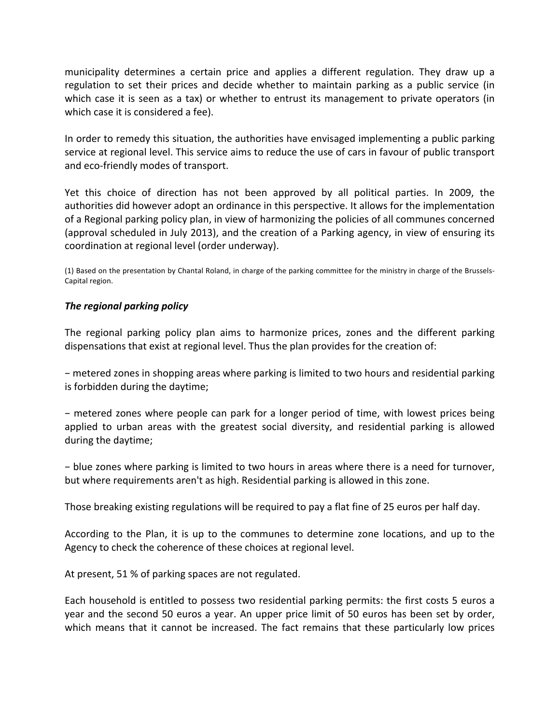municipality determines a certain price and applies a different regulation. They draw up a regulation to set their prices and decide whether to maintain parking as a public service (in which case it is seen as a tax) or whether to entrust its management to private operators (in which case it is considered a fee).

In order to remedy this situation, the authorities have envisaged implementing a public parking service at regional level. This service aims to reduce the use of cars in favour of public transport and eco-friendly modes of transport.

Yet this choice of direction has not been approved by all political parties. In 2009, the authorities did however adopt an ordinance in this perspective. It allows for the implementation of a Regional parking policy plan, in view of harmonizing the policies of all communes concerned (approval scheduled in July 2013), and the creation of a Parking agency, in view of ensuring its coordination at regional level (order underway).

(1) Based on the presentation by Chantal Roland, in charge of the parking committee for the ministry in charge of the Brussels-Capital region.

#### **The regional parking policy**

The regional parking policy plan aims to harmonize prices, zones and the different parking dispensations that exist at regional level. Thus the plan provides for the creation of:

− metered zones in shopping areas where parking is limited to two hours and residential parking is forbidden during the daytime;

− metered zones where people can park for a longer period of time, with lowest prices being applied to urban areas with the greatest social diversity, and residential parking is allowed during the daytime;

- blue zones where parking is limited to two hours in areas where there is a need for turnover, but where requirements aren't as high. Residential parking is allowed in this zone.

Those breaking existing regulations will be required to pay a flat fine of 25 euros per half day.

According to the Plan, it is up to the communes to determine zone locations, and up to the Agency to check the coherence of these choices at regional level.

At present, 51 % of parking spaces are not regulated.

Each household is entitled to possess two residential parking permits: the first costs 5 euros a year and the second 50 euros a year. An upper price limit of 50 euros has been set by order, which means that it cannot be increased. The fact remains that these particularly low prices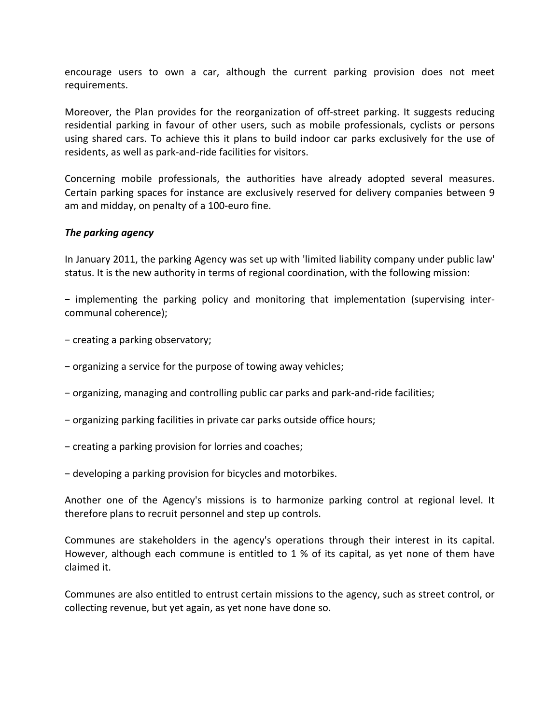encourage users to own a car, although the current parking provision does not meet requirements. 

Moreover, the Plan provides for the reorganization of off-street parking. It suggests reducing residential parking in favour of other users, such as mobile professionals, cyclists or persons using shared cars. To achieve this it plans to build indoor car parks exclusively for the use of residents, as well as park-and-ride facilities for visitors.

Concerning mobile professionals, the authorities have already adopted several measures. Certain parking spaces for instance are exclusively reserved for delivery companies between 9 am and midday, on penalty of a 100-euro fine.

#### *The parking agency*

In January 2011, the parking Agency was set up with 'limited liability company under public law' status. It is the new authority in terms of regional coordination, with the following mission:

− implementing the parking policy and monitoring that implementation (supervising intercommunal coherence);

− creating a parking observatory;

- − organizing a service for the purpose of towing away vehicles;
- − organizing, managing and controlling public car parks and park-and-ride facilities;
- − organizing parking facilities in private car parks outside office hours;
- − creating a parking provision for lorries and coaches;
- − developing a parking provision for bicycles and motorbikes.

Another one of the Agency's missions is to harmonize parking control at regional level. It therefore plans to recruit personnel and step up controls.

Communes are stakeholders in the agency's operations through their interest in its capital. However, although each commune is entitled to  $1\%$  of its capital, as yet none of them have claimed it.

Communes are also entitled to entrust certain missions to the agency, such as street control, or collecting revenue, but yet again, as yet none have done so.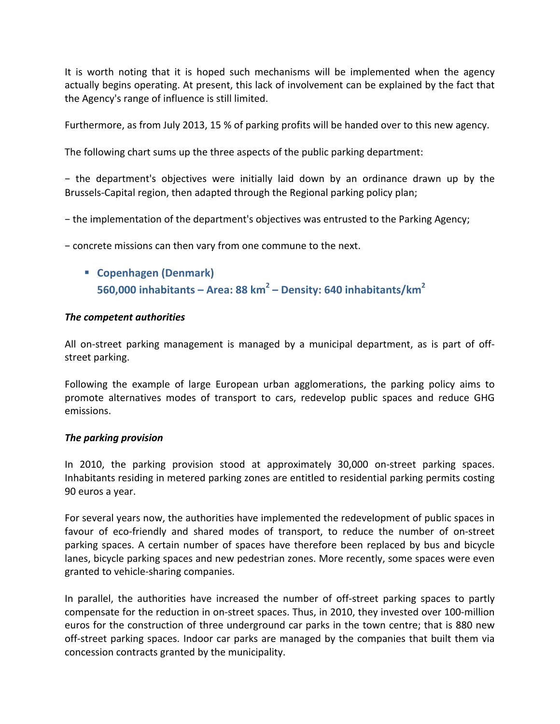It is worth noting that it is hoped such mechanisms will be implemented when the agency actually begins operating. At present, this lack of involvement can be explained by the fact that the Agency's range of influence is still limited.

Furthermore, as from July 2013, 15 % of parking profits will be handed over to this new agency.

The following chart sums up the three aspects of the public parking department:

− the department's objectives were initially laid down by an ordinance drawn up by the Brussels-Capital region, then adapted through the Regional parking policy plan;

− the implementation of the department's objectives was entrusted to the Parking Agency;

− concrete missions can then vary from one commune to the next.

§ **Copenhagen (Denmark) 560,000 inhabitants – Area: 88 km<sup>2</sup> – Density: 640 inhabitants/km<sup>2</sup>**

#### *The competent authorities*

All on-street parking management is managed by a municipal department, as is part of offstreet parking.

Following the example of large European urban agglomerations, the parking policy aims to promote alternatives modes of transport to cars, redevelop public spaces and reduce GHG emissions.

#### *The parking provision*

In 2010, the parking provision stood at approximately 30,000 on-street parking spaces. Inhabitants residing in metered parking zones are entitled to residential parking permits costing 90 euros a year.

For several years now, the authorities have implemented the redevelopment of public spaces in favour of eco-friendly and shared modes of transport, to reduce the number of on-street parking spaces. A certain number of spaces have therefore been replaced by bus and bicycle lanes, bicycle parking spaces and new pedestrian zones. More recently, some spaces were even granted to vehicle-sharing companies.

In parallel, the authorities have increased the number of off-street parking spaces to partly compensate for the reduction in on-street spaces. Thus, in 2010, they invested over 100-million euros for the construction of three underground car parks in the town centre; that is 880 new off-street parking spaces. Indoor car parks are managed by the companies that built them via concession contracts granted by the municipality.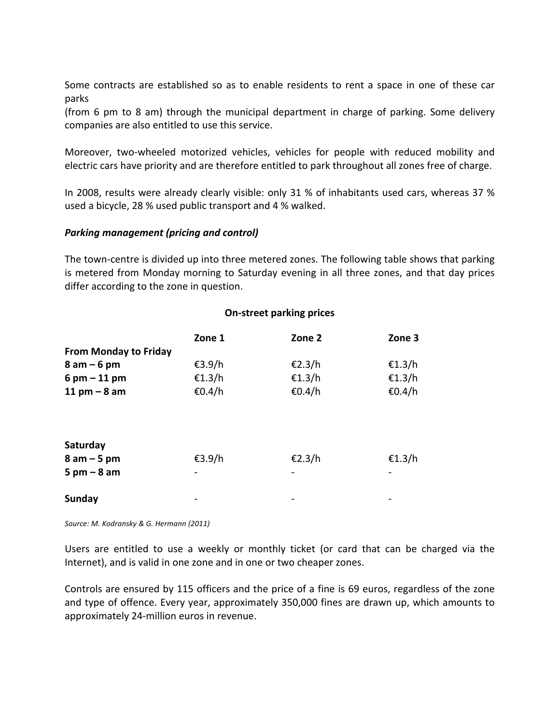Some contracts are established so as to enable residents to rent a space in one of these car parks 

(from 6 pm to 8 am) through the municipal department in charge of parking. Some delivery companies are also entitled to use this service.

Moreover, two-wheeled motorized vehicles, vehicles for people with reduced mobility and electric cars have priority and are therefore entitled to park throughout all zones free of charge.

In 2008, results were already clearly visible: only 31 % of inhabitants used cars, whereas 37 % used a bicycle, 28 % used public transport and 4 % walked.

#### *Parking management (pricing and control)*

The town-centre is divided up into three metered zones. The following table shows that parking is metered from Monday morning to Saturday evening in all three zones, and that day prices differ according to the zone in question.

|                               | Zone 1 | Zone 2 | Zone 3 |
|-------------------------------|--------|--------|--------|
| <b>From Monday to Friday</b>  |        |        |        |
| $8$ am $-6$ pm                | €3.9/h | €2.3/h | €1.3/h |
| $6$ pm $-$ 11 pm              | €1.3/h | €1.3/h | €1.3/h |
| 11 pm $-8$ am                 | €0.4/h | €0.4/h | €0.4/h |
| Saturday                      |        |        |        |
| $8$ am $-5$ pm                | €3.9/h | €2.3/h | €1.3/h |
| $5 \text{ pm} - 8 \text{ am}$ |        |        |        |
| Sunday                        |        |        |        |

Source: M. Kodransky & G. Hermann (2011)

Users are entitled to use a weekly or monthly ticket (or card that can be charged via the Internet), and is valid in one zone and in one or two cheaper zones.

Controls are ensured by 115 officers and the price of a fine is 69 euros, regardless of the zone and type of offence. Every year, approximately 350,000 fines are drawn up, which amounts to approximately 24-million euros in revenue.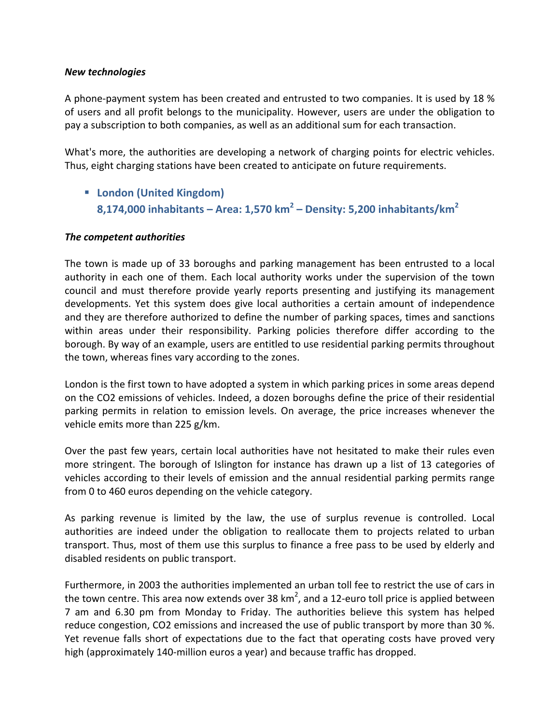#### *New technologies*

A phone-payment system has been created and entrusted to two companies. It is used by 18 % of users and all profit belongs to the municipality. However, users are under the obligation to pay a subscription to both companies, as well as an additional sum for each transaction.

What's more, the authorities are developing a network of charging points for electric vehicles. Thus, eight charging stations have been created to anticipate on future requirements.

■ London (United Kingdom) **8,174,000 inhabitants – Area: 1,570 km<sup>2</sup> – Density: 5,200 inhabitants/km<sup>2</sup>**

#### *The competent authorities*

The town is made up of 33 boroughs and parking management has been entrusted to a local authority in each one of them. Each local authority works under the supervision of the town council and must therefore provide yearly reports presenting and justifying its management developments. Yet this system does give local authorities a certain amount of independence and they are therefore authorized to define the number of parking spaces, times and sanctions within areas under their responsibility. Parking policies therefore differ according to the borough. By way of an example, users are entitled to use residential parking permits throughout the town, whereas fines vary according to the zones.

London is the first town to have adopted a system in which parking prices in some areas depend on the CO2 emissions of vehicles. Indeed, a dozen boroughs define the price of their residential parking permits in relation to emission levels. On average, the price increases whenever the vehicle emits more than  $225$  g/km.

Over the past few years, certain local authorities have not hesitated to make their rules even more stringent. The borough of Islington for instance has drawn up a list of 13 categories of vehicles according to their levels of emission and the annual residential parking permits range from 0 to 460 euros depending on the vehicle category.

As parking revenue is limited by the law, the use of surplus revenue is controlled. Local authorities are indeed under the obligation to reallocate them to projects related to urban transport. Thus, most of them use this surplus to finance a free pass to be used by elderly and disabled residents on public transport.

Furthermore, in 2003 the authorities implemented an urban toll fee to restrict the use of cars in the town centre. This area now extends over 38 km<sup>2</sup>, and a 12-euro toll price is applied between 7 am and 6.30 pm from Monday to Friday. The authorities believe this system has helped reduce congestion, CO2 emissions and increased the use of public transport by more than 30 %. Yet revenue falls short of expectations due to the fact that operating costs have proved very high (approximately 140-million euros a year) and because traffic has dropped.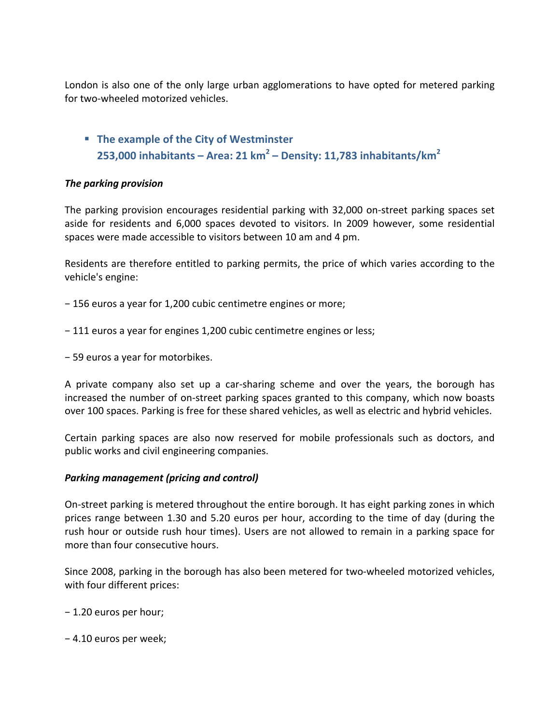London is also one of the only large urban agglomerations to have opted for metered parking for two-wheeled motorized vehicles.

**F** The example of the City of Westminster **253,000 inhabitants – Area: 21 km<sup>2</sup> – Density: 11,783 inhabitants/km<sup>2</sup>**

# *The parking provision*

The parking provision encourages residential parking with 32,000 on-street parking spaces set aside for residents and 6,000 spaces devoted to visitors. In 2009 however, some residential spaces were made accessible to visitors between 10 am and 4 pm.

Residents are therefore entitled to parking permits, the price of which varies according to the vehicle's engine:

- − 156 euros a year for 1,200 cubic centimetre engines or more;
- − 111 euros a year for engines 1,200 cubic centimetre engines or less;
- − 59 euros a year for motorbikes.

A private company also set up a car-sharing scheme and over the years, the borough has increased the number of on-street parking spaces granted to this company, which now boasts over 100 spaces. Parking is free for these shared vehicles, as well as electric and hybrid vehicles.

Certain parking spaces are also now reserved for mobile professionals such as doctors, and public works and civil engineering companies.

#### **Parking management (pricing and control)**

On-street parking is metered throughout the entire borough. It has eight parking zones in which prices range between 1.30 and 5.20 euros per hour, according to the time of day (during the rush hour or outside rush hour times). Users are not allowed to remain in a parking space for more than four consecutive hours.

Since 2008, parking in the borough has also been metered for two-wheeled motorized vehicles, with four different prices:

- − 1.20 euros per hour;
- − 4.10 euros per week;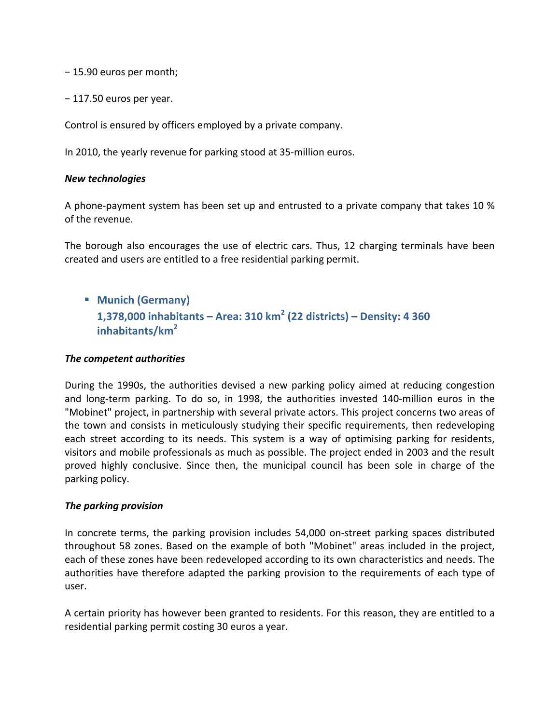− 15.90 euros per month;

− 117.50 euros per year.

Control is ensured by officers employed by a private company.

In 2010, the yearly revenue for parking stood at 35-million euros.

#### *New technologies*

A phone-payment system has been set up and entrusted to a private company that takes 10 % of the revenue.

The borough also encourages the use of electric cars. Thus, 12 charging terminals have been created and users are entitled to a free residential parking permit.

§ **Munich (Germany) 1,378,000 inhabitants – Area: 310 km<sup>2</sup> (22 districts) – Density: 4 360 inhabitants/km<sup>2</sup>**

#### *The competent authorities*

During the 1990s, the authorities devised a new parking policy aimed at reducing congestion and long-term parking. To do so, in 1998, the authorities invested 140-million euros in the "Mobinet" project, in partnership with several private actors. This project concerns two areas of the town and consists in meticulously studying their specific requirements, then redeveloping each street according to its needs. This system is a way of optimising parking for residents, visitors and mobile professionals as much as possible. The project ended in 2003 and the result proved highly conclusive. Since then, the municipal council has been sole in charge of the parking policy.

#### *The parking provision*

In concrete terms, the parking provision includes 54,000 on-street parking spaces distributed throughout 58 zones. Based on the example of both "Mobinet" areas included in the project, each of these zones have been redeveloped according to its own characteristics and needs. The authorities have therefore adapted the parking provision to the requirements of each type of user.

A certain priority has however been granted to residents. For this reason, they are entitled to a residential parking permit costing 30 euros a year.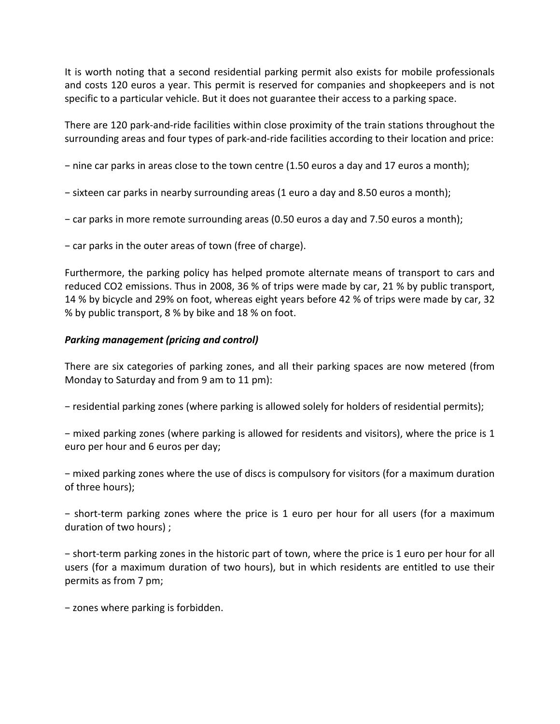It is worth noting that a second residential parking permit also exists for mobile professionals and costs 120 euros a year. This permit is reserved for companies and shopkeepers and is not specific to a particular vehicle. But it does not guarantee their access to a parking space.

There are 120 park-and-ride facilities within close proximity of the train stations throughout the surrounding areas and four types of park-and-ride facilities according to their location and price:

− nine car parks in areas close to the town centre (1.50 euros a day and 17 euros a month);

- − sixteen car parks in nearby surrounding areas (1 euro a day and 8.50 euros a month);
- − car parks in more remote surrounding areas (0.50 euros a day and 7.50 euros a month);
- − car parks in the outer areas of town (free of charge).

Furthermore, the parking policy has helped promote alternate means of transport to cars and reduced CO2 emissions. Thus in 2008, 36 % of trips were made by car, 21 % by public transport, 14 % by bicycle and 29% on foot, whereas eight years before 42 % of trips were made by car, 32 % by public transport, 8 % by bike and 18 % on foot.

# **Parking management (pricing and control)**

There are six categories of parking zones, and all their parking spaces are now metered (from Monday to Saturday and from 9 am to 11 pm):

− residential parking zones (where parking is allowed solely for holders of residential permits);

− mixed parking zones (where parking is allowed for residents and visitors), where the price is 1 euro per hour and 6 euros per day;

− mixed parking zones where the use of discs is compulsory for visitors (for a maximum duration of three hours);

− short-term parking zones where the price is 1 euro per hour for all users (for a maximum duration of two hours) ;

− short-term parking zones in the historic part of town, where the price is 1 euro per hour for all users (for a maximum duration of two hours), but in which residents are entitled to use their permits as from 7 pm;

− zones where parking is forbidden.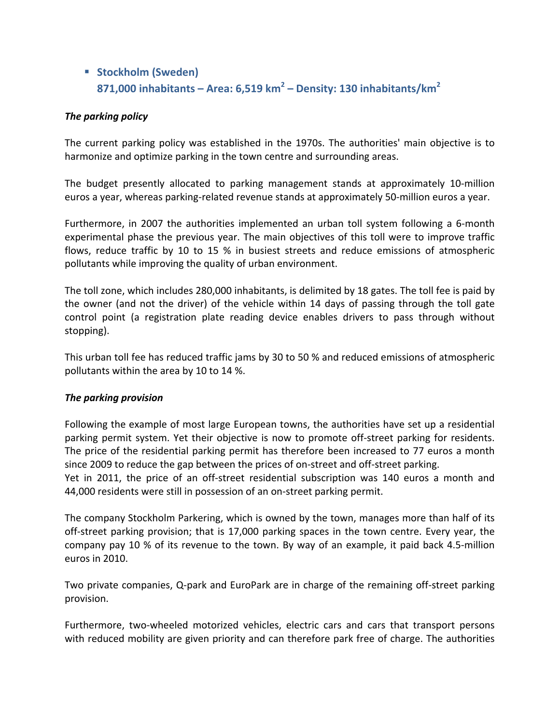# § **Stockholm (Sweden) 871,000 inhabitants – Area: 6,519 km<sup>2</sup> – Density: 130 inhabitants/km<sup>2</sup>**

# *The parking policy*

The current parking policy was established in the 1970s. The authorities' main objective is to harmonize and optimize parking in the town centre and surrounding areas.

The budget presently allocated to parking management stands at approximately 10-million euros a year, whereas parking-related revenue stands at approximately 50-million euros a year.

Furthermore, in 2007 the authorities implemented an urban toll system following a 6-month experimental phase the previous year. The main objectives of this toll were to improve traffic flows, reduce traffic by 10 to 15 % in busiest streets and reduce emissions of atmospheric pollutants while improving the quality of urban environment.

The toll zone, which includes 280,000 inhabitants, is delimited by 18 gates. The toll fee is paid by the owner (and not the driver) of the vehicle within 14 days of passing through the toll gate control point (a registration plate reading device enables drivers to pass through without stopping).

This urban toll fee has reduced traffic jams by 30 to 50 % and reduced emissions of atmospheric pollutants within the area by 10 to 14 %.

#### *The parking provision*

Following the example of most large European towns, the authorities have set up a residential parking permit system. Yet their objective is now to promote off-street parking for residents. The price of the residential parking permit has therefore been increased to 77 euros a month since 2009 to reduce the gap between the prices of on-street and off-street parking.

Yet in 2011, the price of an off-street residential subscription was 140 euros a month and 44,000 residents were still in possession of an on-street parking permit.

The company Stockholm Parkering, which is owned by the town, manages more than half of its off-street parking provision; that is 17,000 parking spaces in the town centre. Every year, the company pay 10 % of its revenue to the town. By way of an example, it paid back 4.5-million euros in 2010.

Two private companies, Q-park and EuroPark are in charge of the remaining off-street parking provision.

Furthermore, two-wheeled motorized vehicles, electric cars and cars that transport persons with reduced mobility are given priority and can therefore park free of charge. The authorities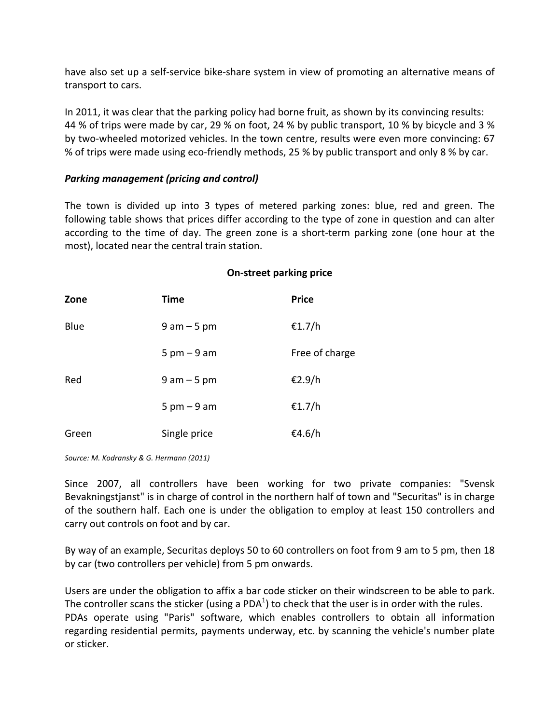have also set up a self-service bike-share system in view of promoting an alternative means of transport to cars.

In 2011, it was clear that the parking policy had borne fruit, as shown by its convincing results: 44 % of trips were made by car, 29 % on foot, 24 % by public transport, 10 % by bicycle and 3 % by two-wheeled motorized vehicles. In the town centre, results were even more convincing: 67 % of trips were made using eco-friendly methods, 25 % by public transport and only 8 % by car.

#### **Parking management (pricing and control)**

The town is divided up into 3 types of metered parking zones: blue, red and green. The following table shows that prices differ according to the type of zone in question and can alter according to the time of day. The green zone is a short-term parking zone (one hour at the most), located near the central train station.

#### **On-street parking price**

| Zone  | <b>Time</b>                   | <b>Price</b>   |
|-------|-------------------------------|----------------|
| Blue  | $9$ am $-5$ pm                | €1.7/h         |
|       | $5 \text{ pm} - 9 \text{ am}$ | Free of charge |
| Red   | $9$ am $-5$ pm                | €2.9/h         |
|       | $5 \text{ pm} - 9 \text{ am}$ | €1.7/h         |
| Green | Single price                  | €4.6/h         |

Source: M. Kodransky & G. Hermann (2011)

Since 2007, all controllers have been working for two private companies: "Svensk Bevakningstjanst" is in charge of control in the northern half of town and "Securitas" is in charge of the southern half. Each one is under the obligation to employ at least 150 controllers and carry out controls on foot and by car.

By way of an example, Securitas deploys 50 to 60 controllers on foot from 9 am to 5 pm, then 18 by car (two controllers per vehicle) from 5 pm onwards.

Users are under the obligation to affix a bar code sticker on their windscreen to be able to park. The controller scans the sticker (using a PDA<sup>1</sup>) to check that the user is in order with the rules. PDAs operate using "Paris" software, which enables controllers to obtain all information regarding residential permits, payments underway, etc. by scanning the vehicle's number plate or sticker.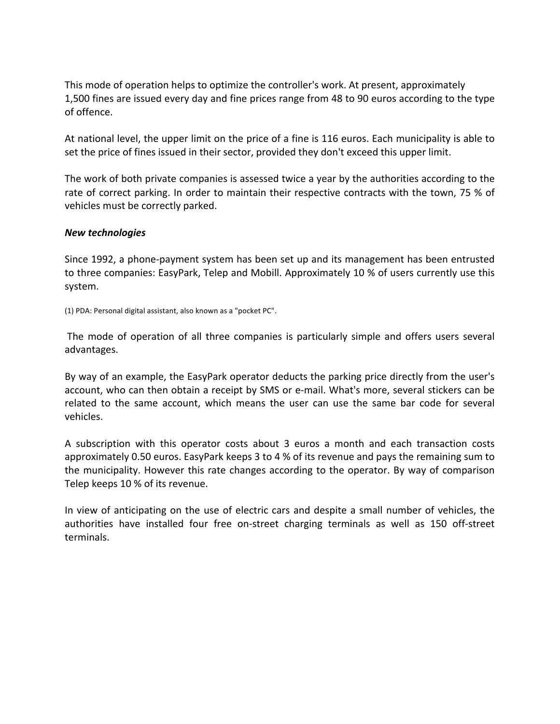This mode of operation helps to optimize the controller's work. At present, approximately 1,500 fines are issued every day and fine prices range from 48 to 90 euros according to the type of offence.

At national level, the upper limit on the price of a fine is 116 euros. Each municipality is able to set the price of fines issued in their sector, provided they don't exceed this upper limit.

The work of both private companies is assessed twice a year by the authorities according to the rate of correct parking. In order to maintain their respective contracts with the town, 75 % of vehicles must be correctly parked.

#### *New technologies*

Since 1992, a phone-payment system has been set up and its management has been entrusted to three companies: EasyPark, Telep and Mobill. Approximately 10 % of users currently use this system.

(1) PDA: Personal digital assistant, also known as a "pocket PC".

The mode of operation of all three companies is particularly simple and offers users several advantages. 

By way of an example, the EasyPark operator deducts the parking price directly from the user's account, who can then obtain a receipt by SMS or e-mail. What's more, several stickers can be related to the same account, which means the user can use the same bar code for several vehicles.

A subscription with this operator costs about 3 euros a month and each transaction costs approximately 0.50 euros. EasyPark keeps 3 to 4 % of its revenue and pays the remaining sum to the municipality. However this rate changes according to the operator. By way of comparison Telep keeps 10 % of its revenue.

In view of anticipating on the use of electric cars and despite a small number of vehicles, the authorities have installed four free on-street charging terminals as well as 150 off-street terminals.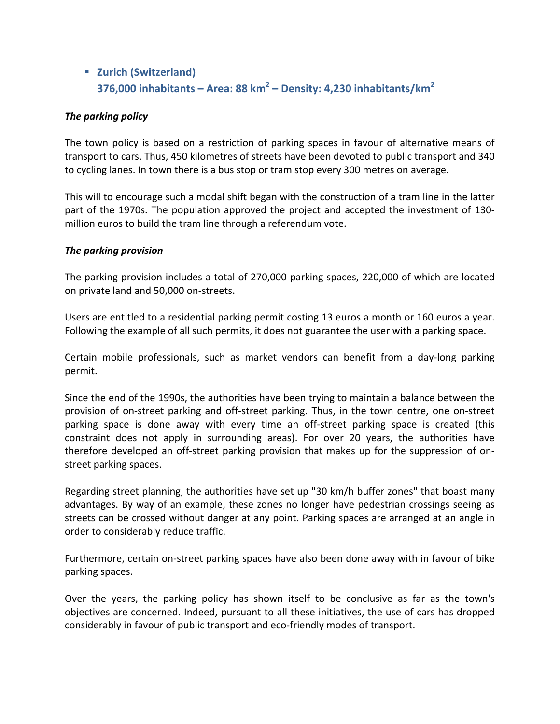# § **Zurich (Switzerland) 376,000 inhabitants – Area: 88 km<sup>2</sup> – Density: 4,230 inhabitants/km<sup>2</sup>**

# *The parking policy*

The town policy is based on a restriction of parking spaces in favour of alternative means of transport to cars. Thus, 450 kilometres of streets have been devoted to public transport and 340 to cycling lanes. In town there is a bus stop or tram stop every 300 metres on average.

This will to encourage such a modal shift began with the construction of a tram line in the latter part of the 1970s. The population approved the project and accepted the investment of 130million euros to build the tram line through a referendum vote.

#### *The parking provision*

The parking provision includes a total of 270,000 parking spaces, 220,000 of which are located on private land and 50,000 on-streets.

Users are entitled to a residential parking permit costing 13 euros a month or 160 euros a year. Following the example of all such permits, it does not guarantee the user with a parking space.

Certain mobile professionals, such as market vendors can benefit from a day-long parking permit.

Since the end of the 1990s, the authorities have been trying to maintain a balance between the provision of on-street parking and off-street parking. Thus, in the town centre, one on-street parking space is done away with every time an off-street parking space is created (this constraint does not apply in surrounding areas). For over 20 years, the authorities have therefore developed an off-street parking provision that makes up for the suppression of onstreet parking spaces.

Regarding street planning, the authorities have set up "30 km/h buffer zones" that boast many advantages. By way of an example, these zones no longer have pedestrian crossings seeing as streets can be crossed without danger at any point. Parking spaces are arranged at an angle in order to considerably reduce traffic.

Furthermore, certain on-street parking spaces have also been done away with in favour of bike parking spaces.

Over the years, the parking policy has shown itself to be conclusive as far as the town's objectives are concerned. Indeed, pursuant to all these initiatives, the use of cars has dropped considerably in favour of public transport and eco-friendly modes of transport.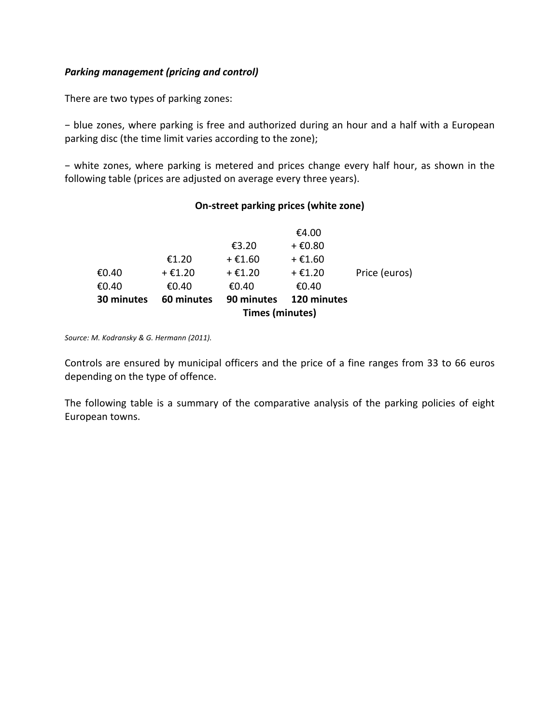# **Parking management (pricing and control)**

There are two types of parking zones:

− blue zones, where parking is free and authorized during an hour and a half with a European parking disc (the time limit varies according to the zone);

− white zones, where parking is metered and prices change every half hour, as shown in the following table (prices are adjusted on average every three years).

# **On-street parking prices (white zone)**

| <b>Times (minutes)</b> |                           |           |               |  |
|------------------------|---------------------------|-----------|---------------|--|
| 60 minutes             | 120 minutes<br>90 minutes |           |               |  |
| €0.40                  | €0.40                     | €0.40     |               |  |
| + €1.20                | + €1.20                   | $+$ €1.20 | Price (euros) |  |
| €1.20                  | + €1.60                   | + €1.60   |               |  |
|                        | €3.20                     | + €0.80   |               |  |
|                        |                           | €4.00     |               |  |
|                        |                           |           |               |  |

Source: M. Kodransky & G. Hermann (2011).

Controls are ensured by municipal officers and the price of a fine ranges from 33 to 66 euros depending on the type of offence.

The following table is a summary of the comparative analysis of the parking policies of eight European towns.